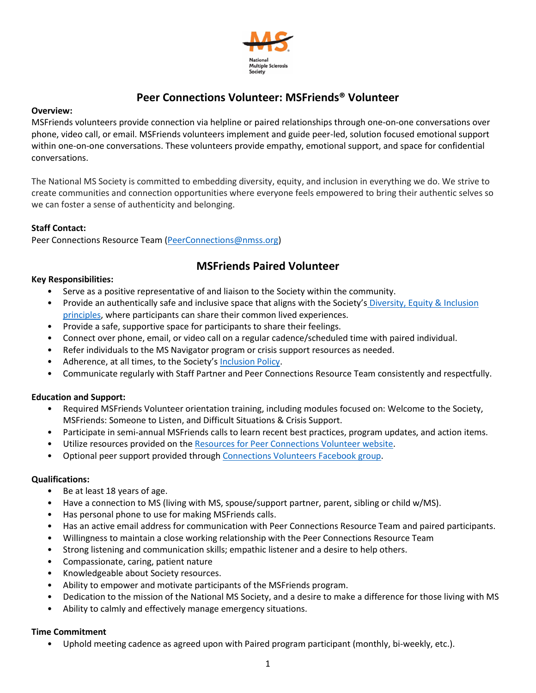

# **Peer Connections Volunteer: MSFriends® Volunteer**

#### **Overview:**

MSFriends volunteers provide connection via helpline or paired relationships through one-on-one conversations over phone, video call, or email. MSFriends volunteers implement and guide peer-led, solution focused emotional support within one-on-one conversations. These volunteers provide empathy, emotional support, and space for confidential conversations.

The National MS Society is committed to embedding diversity, equity, and inclusion in everything we do. We strive to create communities and connection opportunities where everyone feels empowered to bring their authentic selves so we can foster a sense of authenticity and belonging.

# **Staff Contact:**

Peer Connections Resource Team (PeerConnections@nmss.org)

# **MSFriends Paired Volunteer**

# **Key Responsibilities:**

- Serve as a positive representative of and liaison to the Society within the community.
- Provide an authentically safe and inclusive space that aligns with the Society's Diversity, Equity & Inclusion principles, where participants can share their common lived experiences.
- Provide a safe, supportive space for participants to share their feelings.
- Connect over phone, email, or video call on a regular cadence/scheduled time with paired individual.
- Refer individuals to the MS Navigator program or crisis support resources as needed.
- Adherence, at all times, to the Society's Inclusion Policy.
- Communicate regularly with Staff Partner and Peer Connections Resource Team consistently and respectfully.

# **Education and Support:**

- Required MSFriends Volunteer orientation training, including modules focused on: Welcome to the Society, MSFriends: Someone to Listen, and Difficult Situations & Crisis Support.
- Participate in semi-annual MSFriends calls to learn recent best practices, program updates, and action items.
- Utilize resources provided on the Resources for Peer Connections Volunteer website.
- Optional peer support provided through Connections Volunteers Facebook group.

# **Qualifications:**

- Be at least 18 years of age.
- Have a connection to MS (living with MS, spouse/support partner, parent, sibling or child w/MS).
- Has personal phone to use for making MSFriends calls.
- Has an active email address for communication with Peer Connections Resource Team and paired participants.
- Willingness to maintain a close working relationship with the Peer Connections Resource Team
- Strong listening and communication skills; empathic listener and a desire to help others.
- Compassionate, caring, patient nature
- Knowledgeable about Society resources.
- Ability to empower and motivate participants of the MSFriends program.
- Dedication to the mission of the National MS Society, and a desire to make a difference for those living with MS
- Ability to calmly and effectively manage emergency situations.

# **Time Commitment**

• Uphold meeting cadence as agreed upon with Paired program participant (monthly, bi-weekly, etc.).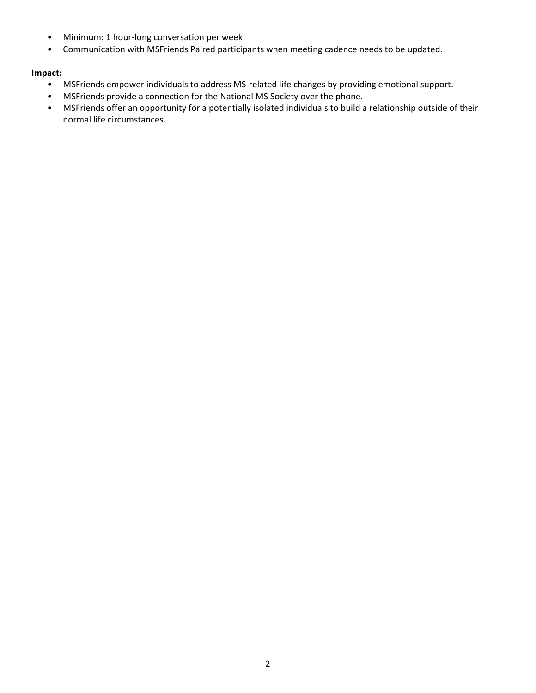- Minimum: 1 hour-long conversation per week
- Communication with MSFriends Paired participants when meeting cadence needs to be updated.

# **Impact:**

- MSFriends empower individuals to address MS-related life changes by providing emotional support.
- MSFriends provide a connection for the National MS Society over the phone.
- MSFriends offer an opportunity for a potentially isolated individuals to build a relationship outside of their normal life circumstances.